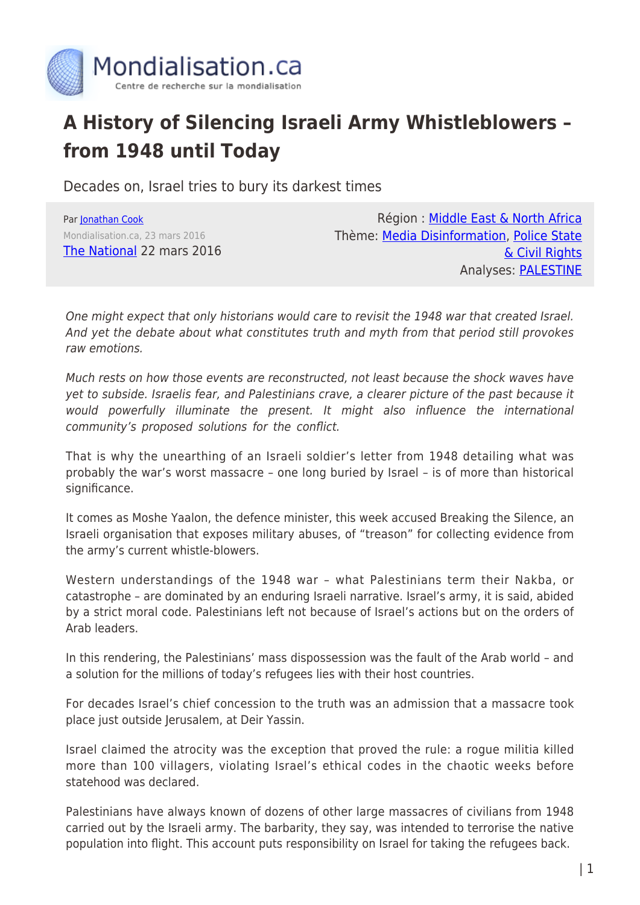

## **A History of Silencing Israeli Army Whistleblowers – from 1948 until Today**

Decades on, Israel tries to bury its darkest times

Par [Jonathan Cook](https://www.mondialisation.ca/author/jonathan-cook) Mondialisation.ca, 23 mars 2016 [The National](http://www.thenational.ae/opinion/comment/decades-on-israel-tries-to-bury-its-darkest-times) 22 mars 2016

Région : [Middle East & North Africa](https://www.mondialisation.ca/region/middle-east) Thème: [Media Disinformation,](https://www.mondialisation.ca/theme/media-disinformation) [Police State](https://www.mondialisation.ca/theme/police-state-civil-rights) [& Civil Rights](https://www.mondialisation.ca/theme/police-state-civil-rights) Analyses: [PALESTINE](https://www.mondialisation.ca/indepthreport/palestine)

One might expect that only historians would care to revisit the 1948 war that created Israel. And yet the debate about what constitutes truth and myth from that period still provokes raw emotions.

Much rests on how those events are reconstructed, not least because the shock waves have yet to subside. Israelis fear, and Palestinians crave, a clearer picture of the past because it would powerfully illuminate the present. It might also influence the international community's proposed solutions for the conflict.

That is why the unearthing of an Israeli soldier's letter from 1948 detailing what was probably the war's worst massacre – one long buried by Israel – is of more than historical significance.

It comes as Moshe Yaalon, the defence minister, this week accused Breaking the Silence, an Israeli organisation that exposes military abuses, of "treason" for collecting evidence from the army's current whistle-blowers.

Western understandings of the 1948 war – what Palestinians term their Nakba, or catastrophe – are dominated by an enduring Israeli narrative. Israel's army, it is said, abided by a strict moral code. Palestinians left not because of Israel's actions but on the orders of Arab leaders.

In this rendering, the Palestinians' mass dispossession was the fault of the Arab world – and a solution for the millions of today's refugees lies with their host countries.

For decades Israel's chief concession to the truth was an admission that a massacre took place just outside Jerusalem, at Deir Yassin.

Israel claimed the atrocity was the exception that proved the rule: a rogue militia killed more than 100 villagers, violating Israel's ethical codes in the chaotic weeks before statehood was declared.

Palestinians have always known of dozens of other large massacres of civilians from 1948 carried out by the Israeli army. The barbarity, they say, was intended to terrorise the native population into flight. This account puts responsibility on Israel for taking the refugees back.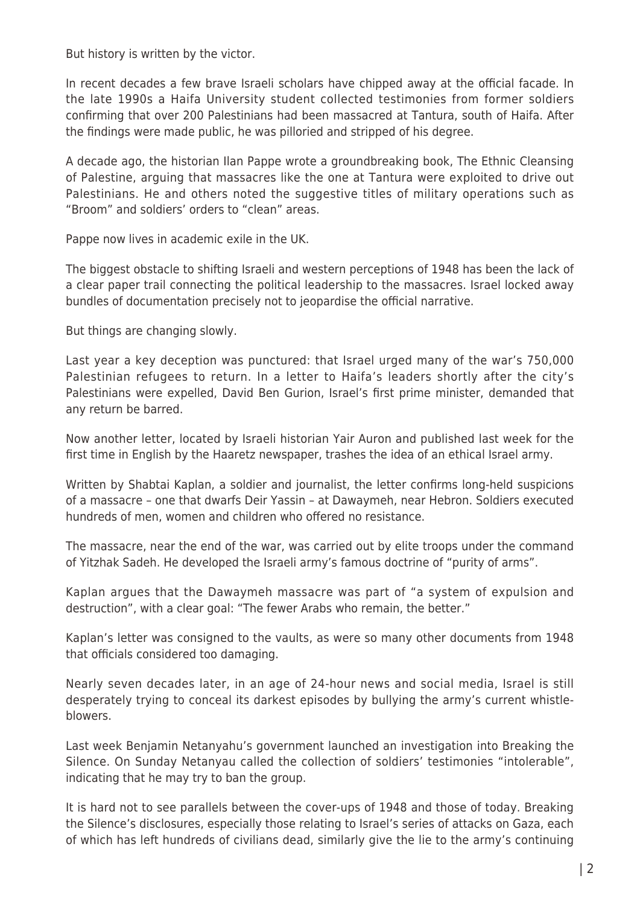But history is written by the victor.

In recent decades a few brave Israeli scholars have chipped away at the official facade. In the late 1990s a Haifa University student collected testimonies from former soldiers confirming that over 200 Palestinians had been massacred at Tantura, south of Haifa. After the findings were made public, he was pilloried and stripped of his degree.

A decade ago, the historian Ilan Pappe wrote a groundbreaking book, The Ethnic Cleansing of Palestine, arguing that massacres like the one at Tantura were exploited to drive out Palestinians. He and others noted the suggestive titles of military operations such as "Broom" and soldiers' orders to "clean" areas.

Pappe now lives in academic exile in the UK.

The biggest obstacle to shifting Israeli and western perceptions of 1948 has been the lack of a clear paper trail connecting the political leadership to the massacres. Israel locked away bundles of documentation precisely not to jeopardise the official narrative.

But things are changing slowly.

Last year a key deception was punctured: that Israel urged many of the war's 750,000 Palestinian refugees to return. In a letter to Haifa's leaders shortly after the city's Palestinians were expelled, David Ben Gurion, Israel's first prime minister, demanded that any return be barred.

Now another letter, located by Israeli historian Yair Auron and published last week for the first time in English by the Haaretz newspaper, trashes the idea of an ethical Israel army.

Written by Shabtai Kaplan, a soldier and journalist, the letter confirms long-held suspicions of a massacre – one that dwarfs Deir Yassin – at Dawaymeh, near Hebron. Soldiers executed hundreds of men, women and children who offered no resistance.

The massacre, near the end of the war, was carried out by elite troops under the command of Yitzhak Sadeh. He developed the Israeli army's famous doctrine of "purity of arms".

Kaplan argues that the Dawaymeh massacre was part of "a system of expulsion and destruction", with a clear goal: "The fewer Arabs who remain, the better."

Kaplan's letter was consigned to the vaults, as were so many other documents from 1948 that officials considered too damaging.

Nearly seven decades later, in an age of 24-hour news and social media, Israel is still desperately trying to conceal its darkest episodes by bullying the army's current whistleblowers.

Last week Benjamin Netanyahu's government launched an investigation into Breaking the Silence. On Sunday Netanyau called the collection of soldiers' testimonies "intolerable", indicating that he may try to ban the group.

It is hard not to see parallels between the cover-ups of 1948 and those of today. Breaking the Silence's disclosures, especially those relating to Israel's series of attacks on Gaza, each of which has left hundreds of civilians dead, similarly give the lie to the army's continuing